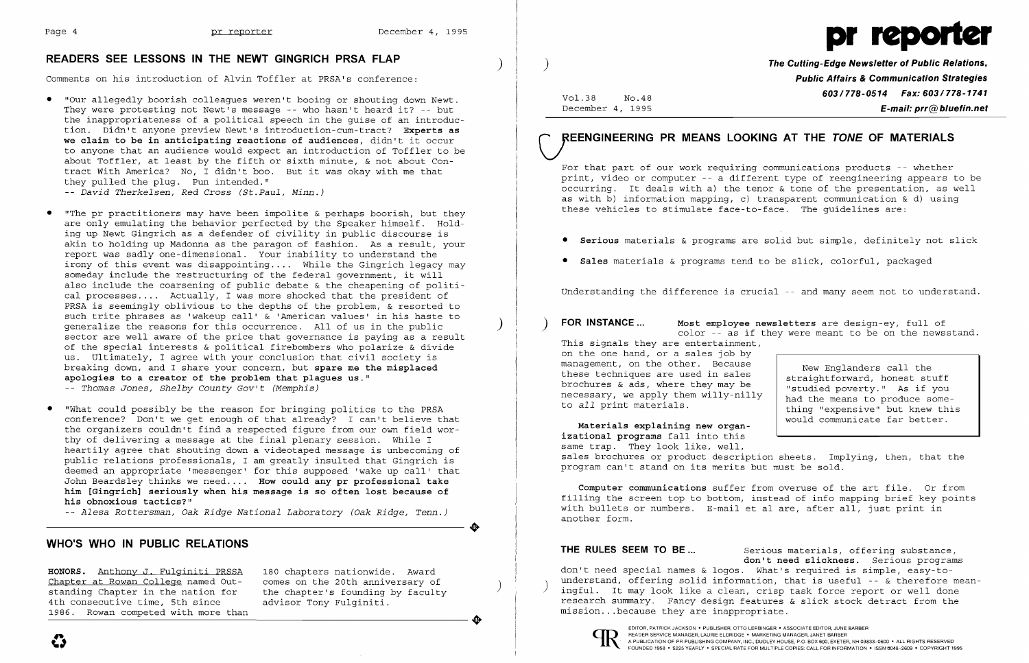

## **READERS SEE LESSONS IN THE NEWT GINGRICH PRSA FLAP** )

Comments on his introduction of Alvin Toffler at PRSA's conference:

**HONORS.** Anthony J. Fulginiti PRSSA 180 chapters nationwide. Award Chapter at Rowan College named Out-<br>standing Chapter in the nation for the chapter's founding by faculty<br>4th consecutive time, 5th since advisor Tony Fulginiti. 4th consecutive time, 5th since<br>1986. Rowan competed with more than Shapper at Rowan College hand out to the son the 20th anniversary of<br>standing Chapter in the nation for the chapter's founding by faculty<br>4th consecutive time, 5th since advisor Tony Fulginiti.<br>1986. Rowan competed with mo

- "Our allegedly boorish colleagues weren't booing or shouting down Newt. They were protesting not Newt's message -- who hasn't heard it? -- but the inappropriateness of a political speech in the guise of an introduction. Didn't anyone preview Newt's introduction-cum-tract? **Experts as we claim to be in anticipating reactions of audiences,** didn't it occur to anyone that an audience would expect an introduction of Toffler to be about Toffler, at least by the fifth or sixth minute, & not about Contract With America? No, I didn't boo. But it was okay with me that they pulled the plug. Pun intended." - *David Therkelsen, Red Cross (St.Paul, Minn.)*
- "The pr practitioners may have been impolite  $\&$  perhaps boorish, but they are only emulating the behavior perfected by the Speaker himself. Holding up Newt Gingrich as a defender of civility in public discourse is akin to holding up Madonna as the paragon of fashion. As a result, your report was sadly one-dimensional. Your inability to understand the irony of this event was disappointing.... While the Gingrich legacy may someday include the restructuring of the federal government, it will also include the coarsening of public debate & the cheapening of political processes.... Actually, I was more shocked that the president of PRSA is seemingly oblivious to the depths of the problem, & resorted to such trite phrases as 'wakeup call' & 'American values' in his haste to generalize the reasons for this occurrence. All of us in the public ) sector are well aware of the price that governance is paying as a result of the special interests & political firebombers who polarize & divide us. Ultimately, I agree with your conclusion that civil society is breaking down, and I share your concern, but **spare me the misplaced apologies to a creator of the problem that plagues us."**  - *Thomas Jones, Shelby County Gov't (Memphis)*
- "What could possibly be the reason for bringing politics to the PRSA conference? Don't we get enough of that already? I can't believe that the organizers couldn't find a respected figure from our own field worthy of delivering a message at the final plenary session. While I heartily agree that shouting down a videotaped message is unbecoming of public relations professionals, I am greatly insulted that Gingrich is deemed an appropriate 'messenger' for this supposed 'wake up call' that John Beardsley thinks we need . **. . . How could any pr professional take him [Gingrich] seriously when his message is so often lost because of his obnoxious tactics?"**

**THE RULES SEEM TO BE...** Serious materials, offering substance, **don't need slickness.** Serious programs don't need special names & logos. What's required is simple, easy-tounderstand, offering solid information, that is useful -- & therefore mean-<br>ingful. It may look like a clean, crisp task force report or well done research summary. Fancy design features & slick stock detract from the mission ... because they are inappropriate.

• -- *Alesa Rottersman* , *Oak Ridge National Laboratory (Oak Ridge, Tenn.)* 

### **WHO'S WHO IN PUBLIC RELATIONS**

) **The Cutting-Edge Newsletter of Public Relations, Public Affairs & Communication Strategies 603/778-0514 Fax: 603/778-1741** Vol.38 No.48 December 4, 1995 **E-mail: prr@bluefin.net** 

# **UEENGINEERING PR MEANS LOOKING AT THE TONE OF MATERIALS**

For that part of our work requiring communications products -- whether print, video or computer -- a different type of reengineering appears to be occurring. It deals with a) the tenor & tone of the presentation, as well as with b) information mapping, c) transparent communication & d) using these vehicles to stimulate face-to-face. The guidelines are:

• **Serious** materials & programs are solid but simple, definitely not slick

- 
- **Sales** materials & programs tend to be slick, colorful, packaged

Understanding the difference is crucial -- and many seem not to understand.

) **FOR INSTANCE ... Most employee newsletters** are design-ey, full of color -- as if they were meant to be on the newsstand.

This signals they are entertainment, on the one hand, or a sales job by management, on the other. Because these techniques are used in sales brochures & ads, where they may be necessary, we apply them willy-nilly to *all* print materials.

New Englanders call the straightforward, honest stuff "studied poverty." As if you had the means to produce something "expensive" but knew this would communicate far better.

**Materials explaining new organizational programs** fall into this same trap. They look like, well, sales brochures or product description sheets. Implying, then, that the program can't stand on its merits but must be sold.

**Computer communications** suffer from overuse of the art file. Or from filling the screen top to bottom, instead of info mapping brief key points with bullets or numbers. E-mail et al are, after all, just print in another form .



**...,**